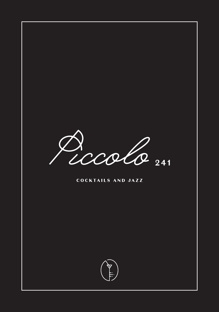

#### COCKTAILS AND JAZZ

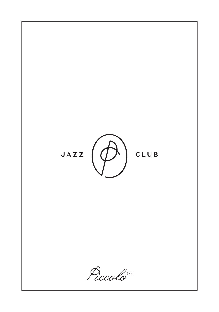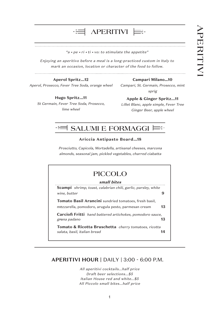# **APERITIVI** APERITIVI

#### . . . . . . . . . . . . . . . . . . **Aperol Spritz...12**

 $-\frac{1}{2}$ 

Aperol, Prosecco, Fever Tree Soda, orange wheel

#### **Campari Milano…10**

Campari, St. Germain, Prosecco, mint sprig

#### **Hugo Spritz...11** St Germain, Fever Tree Soda, Prosecco,

**Apple & Ginger Spritz...11**

Lillet Blanc, apple simple, Fever Tree Ginger Beer, apple wheel



# **SALUMI E FORMAGGI**

**APERITIVI**

"a • pe • ri • ti • vo: to stimulate the appetite"

Enjoying an aperitivo before a meal is a long-practiced custom in Italy to mark an occasion, location or character of the food to follow.

#### **Ariccia Antipasto Board...18**

Prosciutto, Capicola, Mortadella, artisanal cheeses, marcona almonds, seasonal jam, pickled vegetables, charred ciabatta

#### **small bites Scampi** shrimp, toast, calabrian chili, garlic, parsley, white wine, butter **9 PICCOLO**

**Tomato Basil Arancini** sundried tomatoes, fresh basil, mozzarella, pomodoro, arugula pesto, parmesan cream **13** *v*

**Carciofi Fritti** hand battered artichokes, pomodoro sauce, grana padano **13** *v*

**Tomato & Ricotta Bruschetta** cherry tomatoes, ricotta salata, basil, italian bread **14**

### **APERITIVI HOUR |** DAILY | 3:00 - 6:00 P.M.

All aperitivi cocktails...half price Draft beer selections...\$5 Italian House red and white...\$5 All Piccolo small bites...half price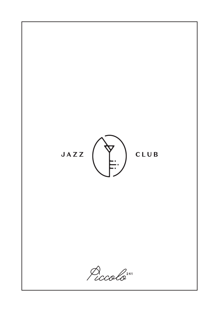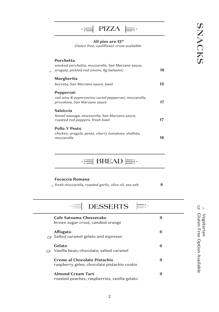|                | $ $ PIZZA $ $                                                                                              |    |
|----------------|------------------------------------------------------------------------------------------------------------|----|
|                | All pies are 12"<br>Gluten free, cauliflower crust availalble                                              |    |
| $\overline{U}$ | Porchetta<br>smoked porchetta, mozzarella, San Marzano sauce,<br>arugula, pickled red onions, fig balsamic | 18 |
|                | Margherita<br>burrata, San Marzano sauce, basil                                                            | 15 |
|                | Pepperoni<br>red wine & peperoncino cured pepperoni, mozzarella,<br>provolone, San Marzano sauce           | 17 |
|                | Salsiccia<br>fennel sausage, mozzarella, San Marzano sauce,<br>roasted red peppers, fresh basil            | 17 |
|                | <b>Pollo Y Pesto</b><br>chicken, arugula, pesto, cherry tomatoes, shallots,<br>mozzarella                  | 18 |

 $\equiv$ **BREAD** $\equiv$ 

#### **Focaccia Romana**

 $\sigma$  fresh mozzarella, roasted garlic, olive oil, sea salt **8** 

**DESSERTS** ⊫≕  $-\Xi$ **Cafe Satsuma Cheesecake 9** brown sugar crust, candied orange **Affogato 6**  $_{\mathrm{GF}}$  Salted caramel gelato and espresso **Gelato 6** Vanilla bean; chocolate; salted caramel GF**Creme al Chocolate Pistachio 9** raspberry gelee, chocolate pistachio cookie **Almond Cream Tart 9** roasted peaches, raspberries, vanilla gelato

**SNACKS**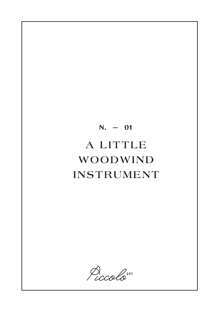Piccolo<sup>241</sup>

# $N. - 01$ A LITTLE WOODWIND INSTRUMENT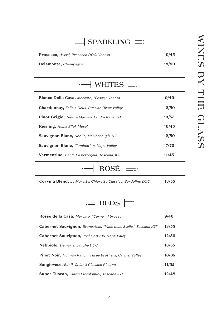| $\equiv$ SPARKLING                                    |       |
|-------------------------------------------------------|-------|
| <b>Prosecco, Avissi, Prosecco DOC, Veneto</b>         | 10/45 |
| Delamonte, Champagne                                  | 18/90 |
| $\equiv$ WHITES                                       |       |
| <b>Bianco Della Casa, Mercato, "Pesce," Veneto</b>    | 9/40  |
| <b>Chardonnay, Folie a Deux, Russian River Valley</b> | 12/50 |
| <b>Pinot Grigio, Tenuta Maccan, Friuli-Grave IGT</b>  | 13/55 |
| <b>Riesling, Heinz Eifel, Mosel</b>                   | 10/45 |
| <b>Sauvignon Blanc, Nobilo, Marlborough, NZ</b>       | 12/50 |
|                                                       |       |

**Sauvignon Blanc,** Illumination, Napa Valley **17/70 Vermentino,** Banfi, La pettegola, Toscana, IGT **11/45**

> $\frac{1}{\alpha}$  $\equiv$  -**ROS É**

**Corvina Blend,** Le Morette, Chiaretto Classico, Bardolino DOC **13/55**

**REDS** - 三

| Rosso della Casa, Mercato, "Carne," Abruzzo                        | 9/40  |
|--------------------------------------------------------------------|-------|
| Cabernet Sauvignon, Brancatelli, "Valle delle Stelle," Toscana IGT | 13/55 |
| Cabernet Sauvignon, Joel Gott 815, Napa Valey                      | 12/50 |
| <b>Nebbiolo,</b> Demarie, Langhe DOC                               | 13/55 |
| <b>Pinot Noir, Holman Ranch, Three Brothers, Carmel Valley</b>     | 16/65 |
| <b>Sangiovese, Banfi, Chianti Classico Riserva</b>                 | 11/55 |
| <b>Super Tuscan, Ciacci Piccolomini, Toscana IGT</b>               | 12/48 |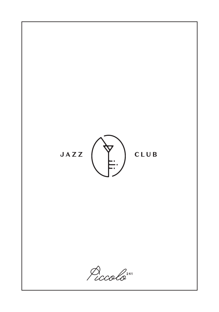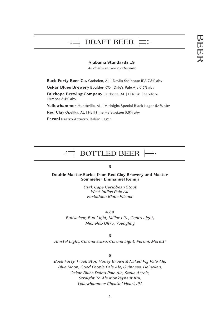# **DRAFT BEER**

#### **Alabama Standards...9**

All drafts served by the pint

**Back Forty Beer Co.** Gadsden, AL | Devils Staircase IPA 7.5% abv

**Oskar Blues Brewery** Boulder, CO | Dale's Pale Ale 6.5% abv

**Fairhope Brewing Company** Fairhope, AL | I Drink Therefore I Amber 5.4% abv

Yellowhammer Huntsville, AL | Midnight Special Black Lager 5.4% abv

**Red Clay** Opelika, AL | Half time Hefeweizen 5.6% abv

**Peroni** Nastro Azzurro, Italian Lager

#### **BOTTLED BEER** ≡-

#### **6**

**Double Master Series from Red Clay Brewery and Master Sommelier Emmanuel Kemiji**

> Dark Cape Caribbean Stout West Indies Pale Ale Forbidden Blade Pilsner

#### **4.50**

Budweiser, Bud Light, Miller Lite, Coors Light, Michelob Ultra, Yuengling

**6** Amstel Light, Corona Extra, Corona Light, Peroni, Moretti

#### **6**

Back Forty Truck Stop Honey Brown & Naked Pig Pale Ale, Blue Moon, Good People Pale Ale, Guinness, Heineken, Oskar Blues Dale's Pale Ale, Stella Artois, Straight To Ale Monkeynaut IPA, Yellowhammer Cheatin' Heart IPA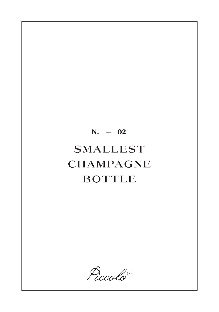# $N. - 02$ SMALLEST CHAMPAGNE **BOTTLE**

Piccolo<sup>241</sup>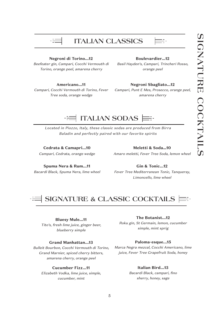

# **ITALIAN CLASSICS**



#### **Negroni di Torino...12**

Beefeater gin, Campari, Cocchi Vermouth di Torino, orange peel, amarena cherry

#### **Boulevardier...12**

Basil Hayden's, Campari, Trincheri Rosso, orange peel

#### **Americano...11**

Campari, Cocchi Vermouth di Torino, Fever Tree soda, orange wedge

#### **Negroni Sbagliato...12**

Campari, Punt E Mes, Prosecco, orange peel, amarena cherry

# **ITALIAN SODAS**

Located in Piozzo, Italy, these classic sodas are produced from Birra Baladin and perfectly paired with our favorite spirits

**Cedrata & Camapri...10** Campari, Cedrata, orange wedge

**Meletti & Soda…10** Amaro meletti, Fever Tree Soda, lemon wheel

**Spuma Nera & Rum...11** Bacardi Black, Spuma Nera, lime wheel

**Gin & Tonic...12** Fever Tree Mediterranean Tonic, Tanqueray, Limoncello, lime wheel

# **SIGNATURE & CLASSIC COCKTAILS**

#### **Bluesy Mule...11**

Tito's, fresh lime juice, ginger beer, blueberry simple

#### **Grand Manhattan...13**

Bulleit Bourbon, Cocchi Vermouth di Torino, Grand Marnier, spiced cherry bitters, amarena cherry, orange peel

#### **Cucumber Fizz...11**

Elizabeth Vodka, lime juice, simple, cucumber, mint

#### **The Botanist...12**

Roku gin, St Germain, lemon, cucumber simple, mint sprig

#### **Paloma-esque...15**

Marca Negra mezcal, Cocchi Americano, lime juice, Fever Tree Grapefruit Soda, honey

#### **Italian Bird...13**

Bacardi Black, campari, fino sherry, honey, sage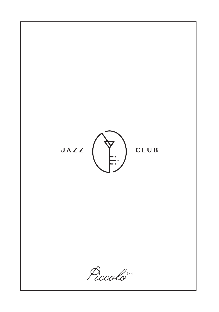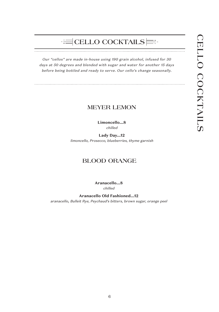#### **CELLO COCKTAILS**  $-\frac{1}{\pi}$

Our "cellos" are made in-house using 190 grain alcohol, infused for 30 days at 50 degrees and blended with sugar and water for another 15 days before being bottled and ready to serve. Our cello's change seasonally.

### **MEYER LEMON**

**Limoncello...8** chilled

**Lady Day...12** limoncello, Prosecco, blueberries, thyme garnish

## **BLOOD ORANGE**

**Aranacello...8** chilled

**Aranacello Old Fashioned...12** aranacello, Bulleit Rye, Peychaud's bitters, brown sugar, orange peel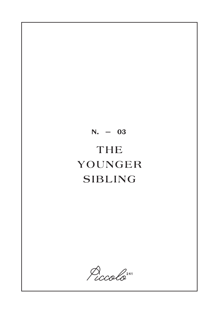

Piccolo<sup>241</sup>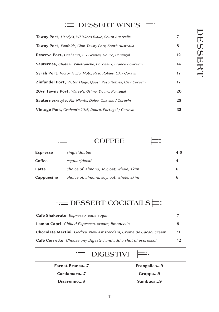**EXAMPLES** DESSERT WINES 또-**Tawny Port,** Hardy's, Whiskers Blake, South Australia **7 Tawny Port,** Penfolds, Club Tawny Port, South Australia **8 Reserve Port,** Graham's, Six Grapes, Douro, Portugal **12 Sauternes,** Chateau Villefranche, Bordeaux, France / Coravin **14 Syrah Port,** Victor Hugo, Moto, Paso Robles, CA / Coravin **17 Zinfandel Port,** Victor Hugo, Quasi, Paso Robles, CA / Coravin **17 20yr Tawny Port,** Warre's, Otima, Douro, Portugal **20 Sauternes-style,** Far Niente, Dolce, Oakville / Coravin **25 Vintage Port**, Graham's 2016, Douro, Portugal / Coravin **32**

|                 | <b>COFFEE</b>                            |     |
|-----------------|------------------------------------------|-----|
| <b>Espresso</b> | single double                            | 4 6 |
| Coffee          | regular decaf                            |     |
| Latte           | choice of: almond, soy, oat, whole, skim | 6   |
| Cappuccino      | choice of: almond, soy, oat, whole, skim | 6   |

# **DESSERT COCKTAILS**

| Café Shakerato Espresso, cane sugar                                          |    |
|------------------------------------------------------------------------------|----|
| <b>Lemon Capri</b> Chilled Espresso, cream, limoncello                       | 9  |
| Chocolate Martini Godiva, New Amsterdam, Creme de Cacao, cream               | 11 |
| <b>Café Corretto</b> <i>Choose any Digestivi and add a shot of espresso!</i> | 12 |

#### **DIGESTIVI** - 三

**Fernet Branca...7 Cardamaro...7 Disaronno...8**

**Frangelico...9 Grappa...9**

≡-

**Sambuca...9**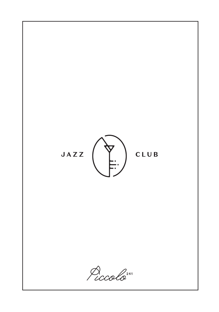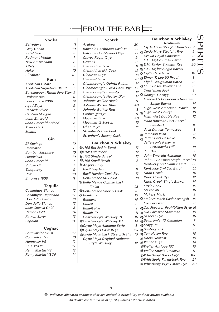# FROM THE BARE:

#### **Vodka**

| Belvedere                  | 11             |
|----------------------------|----------------|
| <b>Grey Goose</b>          | 10             |
| Ketel One                  | 9              |
| Redmont Vodka              | 7              |
| New Amsterdam              | 8              |
| Tito's                     | 9              |
| Haku                       | 10             |
| Elizabeth                  | 9              |
| Rum                        |                |
| <b>Appleton Estate</b>     | 8              |
| Appleton Signature Blend   | $\overline{7}$ |
| Barbancourt Rhum Five Star | 9              |
| Diplomatico                | 9              |
| Foursquare 2008            | 19             |
| Aged Zaya                  | 9              |
| Bacardi Silver             | $\overline{7}$ |
| Captain Morgan             | 7              |
| John Emerald               | $\overline{7}$ |
| John Emerald Spiced        | 8              |
| <b>Myers Dark</b>          | 7              |
| Malibu                     | 7              |
| Gin                        |                |
| 27 Springs                 | 10             |
| Beefeater                  | 8              |
| <b>Bombay Sapphire</b>     | 10             |
| Hendricks                  | 10             |
| John Emerald               | 7              |
| Vulcan Gin                 | 7              |
| Tangueray                  | 9              |
| Roku                       | 10             |
| Empress 1908               | 11             |
|                            |                |
| Tequila                    |                |
| Casamigos Blanco           | 15             |
| Casamigos Reposado         | 17             |
| Don Julio Anejo            | 16             |
| Don Julio Blanco           | 15             |
| Jose Cuervo Gold           | 8              |
| Patron Gold                | 14             |
| Patron Silver              | 13             |
| Espolon                    | 11             |

#### **Cognac**

| Courvoisier VSOP | 12 |
|------------------|----|
| Courvoiser VS    | 10 |
| Hennessy VS      | 12 |
| Kelt: VSOP       | 17 |
| Remy Martin VS   | 12 |
| Remy Martin VSOP | 14 |
|                  |    |

| Scotch                       |    |
|------------------------------|----|
| Ardbeg                       | 20 |
| Balvenie Caribbean Cask 14   | 22 |
| Balvenie Doublewood 12yr     | 22 |
| Chivas Regal 12 yr           | 9  |
| Dewers                       | 9  |
| Glenfiddich 12 yr            | 11 |
| Glenfiddich IPA Cask         | 15 |
| Glenlivet 12 yr              | 13 |
| Glenlivet 18 yr              | 20 |
| Glenmorangie Quinta Ruban    | 14 |
| Glenmorangie Extra Rare 18yr | 17 |
| Glenmorangie Lasanta         | 12 |
| Glenmorangie Nector D'or     | 14 |
| Johnnie Walker Black         | 11 |
| Johnnie Walker Blue          | 40 |
| Johnnie Walker Red           | 8  |
| Laphroig 10 yr               | 11 |
| Macallan 18 yr               | 40 |
| Macallan 12 Scotch           | 15 |
| Oban 14 yr                   | 14 |
| Stranhan's Blue Peak         |    |
| Stranhan's Sherry Cask       |    |
| <b>Bourbon &amp; Whiskey</b> |    |
| ※1792 Bottled in Bond        | 12 |
| ※1792 Full Proof             | 12 |
| ※1792 Single Barrel          | 12 |
| ※1792 Small Batch            | 8  |
| ※Angel's Envy                | 9  |
| <b>Basil Hayden</b>          | 11 |
| Basil Hayden Dark Rye        | 12 |
| Belle Meade 90 Proof         | 13 |
| ※ Belle Meade Cognac Cask    |    |
| Finish                       | 25 |
| ※ Belle Meade Sherry Cask    | 25 |
| ※ Blantons                   | 15 |
| <b>Bookers</b>               | 15 |
| <b>Bulleit</b>               | 8  |
| <b>Bulleit Rye</b>           | 9  |
| <b>Bulleit 10</b>            | 11 |

| Bulleit 10                        |                 |
|-----------------------------------|-----------------|
| Chattanooga Whiskey 91            | 10 <sub>1</sub> |
| ※Chattanooga Whiskey 111          | 14              |
| ※Clyde Mays Alabama Style         | 8               |
| «Clyde Mays Cask 10 yr            | 25              |
| ※Clyde Mays Cask Strength 11yr 45 |                 |
| Clyde Mays Original Alabama       |                 |
| Style Whiskey                     |                 |

|                                           | <b>Bourbon &amp; Whiskey</b><br>(continued) |                |  |
|-------------------------------------------|---------------------------------------------|----------------|--|
| $\mathfrak z$                             | Clyde Mays Straight Bourbon 9               |                |  |
| $\overline{\mathbf{c}}$<br>$\overline{c}$ | ※ Clyde Mays Straight Rye                   | 9              |  |
|                                           | Crown Royal Canadian                        | 9              |  |
|                                           | E.H. Taylor Small Batch                     | 12             |  |
| 1                                         | ※ E.H. Taylor Straight Rye                  | 20             |  |
| 1                                         | ※ E.H. Taylor Single Barrel                 |                |  |
| 5                                         | ※ Eagle Rare 10 yr                          | 10             |  |
| 3                                         | ※ Elmer T. Lee 90 Proof                     | 8              |  |
| $\mathfrak{p}$                            | Elijah Craig Small Batch                    | 9              |  |
| 4                                         | ※ Four Roses Yellow Label                   | 9              |  |
| 7                                         | Gentlemen Jack                              | 8              |  |
| $\frac{2}{4}$                             | ※ George T Stagg                            | 30             |  |
|                                           | Hancock's President's Reserve               |                |  |
| 1                                         | Single Barrel                               | 14             |  |
| $\mathcal{O}$                             | High West American Prairie                  | 12             |  |
| 3                                         | <b>※High West Bourye</b>                    | 16             |  |
| 1                                         | High West Double Rye                        | 12             |  |
| $\mathcal{O}$                             | Isaac Bowman Port Barrel                    |                |  |
| 5                                         | Finished                                    | 11             |  |
| 4                                         | Jack Daniels Tennessee                      | 8              |  |
|                                           | #Jameson Irish                              | 9              |  |
|                                           | & Jefferson's Reserve                       | 15             |  |
|                                           | Jefferson's Reserve                         |                |  |
|                                           | Pritchard's Hill                            | 19             |  |
| $\overline{\mathbf{c}}$<br>$\overline{c}$ | Jim Beam                                    | 7              |  |
| $\overline{c}$                            | John Emerald Alabama                        | 10             |  |
| $\mathbf{S}$                              | John J. Bowman Single Barrel 10             |                |  |
| 9                                         | Kentucky Owl Confiscated                    | 35             |  |
| 1                                         | Kentucky Owl Old Batch                      | 55             |  |
|                                           | Knob Creek                                  | 10             |  |
| $\overline{c}$<br>3                       | Knob Creek Rye                              | 12             |  |
|                                           | Knob Creek Single Barrel                    | 14             |  |
|                                           | Little Book                                 | 15             |  |
| 5<br>5                                    | Maker 46                                    | 10             |  |
| ,                                         | <b>Makers Mark</b>                          | 9              |  |
| ,                                         | ※ Makers Mark Cask Strength                 | 15             |  |
| i                                         | Old Forester                                | 8              |  |
| 1                                         | ※Old Forester Prohibition Style 16          |                |  |
| 1                                         | ※Old Forester Stateman                      | 16             |  |
| $\mathfrak z$                             | <b><i>Sazerac</i></b> Rye                   | 10             |  |
| ļ                                         | *Seagram's VO Canadian                      | 7              |  |
| i                                         | ※Stagg Jr                                   | 11             |  |
| 5                                         | <b><i>*Suntory Toki</i></b>                 | 8              |  |
| 5                                         | <b>※ Templeton Rye</b>                      | 10             |  |
|                                           | ※Uncle Nearest                              | 16             |  |
| $\overline{ }$                            | ※Weller 12 yr                               | 14             |  |
|                                           | ※Weller Antique 107                         | 15             |  |
|                                           | ※ Weller Special Reserve                    | 11             |  |
|                                           | ※Whistlepig Boss Hogg                       | 100            |  |
|                                           | ※Whictlania Formstook Pvo                   | Q <sub>1</sub> |  |

Whistlepig Farmstock Rye 21  $\mathbf{I}$ Whistlepig 15 yr Estate Rye 50